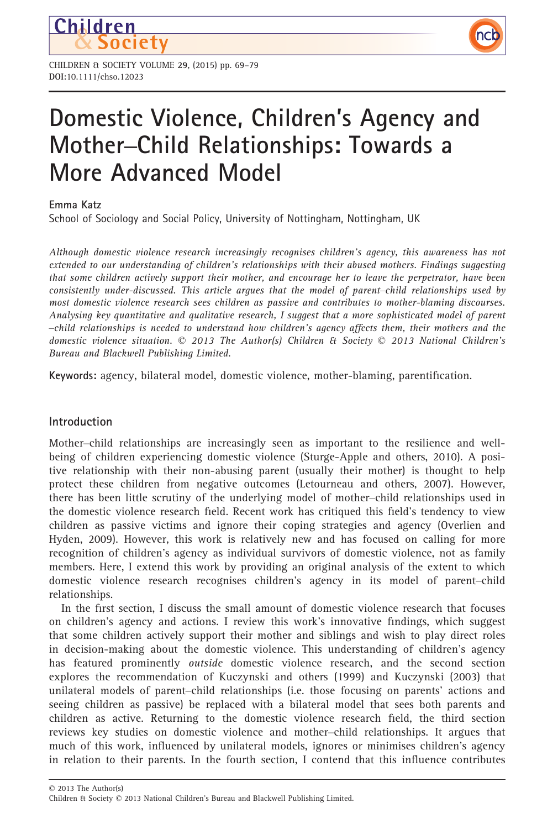CHILDREN & SOCIETY VOLUME 29, (2015) pp. 69–79 DOI:10.1111/chso.12023

ociety

# Domestic Violence, Children's Agency and Mother–Child Relationships: Towards a More Advanced Model

nc

# Emma Katz

Children

School of Sociology and Social Policy, University of Nottingham, Nottingham, UK

Although domestic violence research increasingly recognises children's agency, this awareness has not extended to our understanding of children's relationships with their abused mothers. Findings suggesting that some children actively support their mother, and encourage her to leave the perpetrator, have been consistently under-discussed. This article argues that the model of parent–child relationships used by most domestic violence research sees children as passive and contributes to mother-blaming discourses. Analysing key quantitative and qualitative research, I suggest that a more sophisticated model of parent –child relationships is needed to understand how children's agency affects them, their mothers and the domestic violence situation.  $\oslash$  2013 The Author(s) Children & Society  $\oslash$  2013 National Children's Bureau and Blackwell Publishing Limited.

Keywords: agency, bilateral model, domestic violence, mother-blaming, parentification.

# Introduction

Mother–child relationships are increasingly seen as important to the resilience and wellbeing of children experiencing domestic violence (Sturge-Apple and others, 2010). A positive relationship with their non-abusing parent (usually their mother) is thought to help protect these children from negative outcomes (Letourneau and others, 2007). However, there has been little scrutiny of the underlying model of mother–child relationships used in the domestic violence research field. Recent work has critiqued this field's tendency to view children as passive victims and ignore their coping strategies and agency (Overlien and Hyden, 2009). However, this work is relatively new and has focused on calling for more recognition of children's agency as individual survivors of domestic violence, not as family members. Here, I extend this work by providing an original analysis of the extent to which domestic violence research recognises children's agency in its model of parent–child relationships.

In the first section, I discuss the small amount of domestic violence research that focuses on children's agency and actions. I review this work's innovative findings, which suggest that some children actively support their mother and siblings and wish to play direct roles in decision-making about the domestic violence. This understanding of children's agency has featured prominently outside domestic violence research, and the second section explores the recommendation of Kuczynski and others (1999) and Kuczynski (2003) that unilateral models of parent–child relationships (i.e. those focusing on parents' actions and seeing children as passive) be replaced with a bilateral model that sees both parents and children as active. Returning to the domestic violence research field, the third section reviews key studies on domestic violence and mother–child relationships. It argues that much of this work, influenced by unilateral models, ignores or minimises children's agency in relation to their parents. In the fourth section, I contend that this influence contributes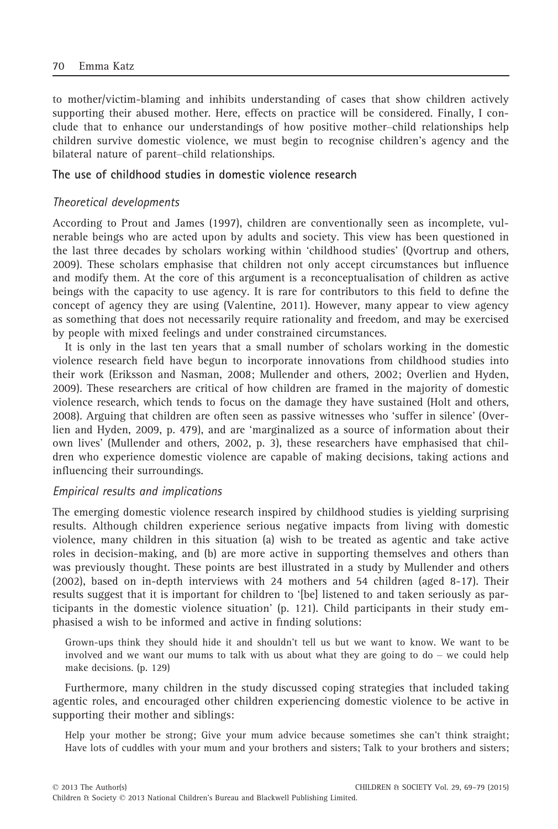to mother/victim-blaming and inhibits understanding of cases that show children actively supporting their abused mother. Here, effects on practice will be considered. Finally, I conclude that to enhance our understandings of how positive mother–child relationships help children survive domestic violence, we must begin to recognise children's agency and the bilateral nature of parent–child relationships.

## The use of childhood studies in domestic violence research

# Theoretical developments

According to Prout and James (1997), children are conventionally seen as incomplete, vulnerable beings who are acted upon by adults and society. This view has been questioned in the last three decades by scholars working within 'childhood studies' (Qvortrup and others, 2009). These scholars emphasise that children not only accept circumstances but influence and modify them. At the core of this argument is a reconceptualisation of children as active beings with the capacity to use agency. It is rare for contributors to this field to define the concept of agency they are using (Valentine, 2011). However, many appear to view agency as something that does not necessarily require rationality and freedom, and may be exercised by people with mixed feelings and under constrained circumstances.

It is only in the last ten years that a small number of scholars working in the domestic violence research field have begun to incorporate innovations from childhood studies into their work (Eriksson and Nasman, 2008; Mullender and others, 2002; Overlien and Hyden, 2009). These researchers are critical of how children are framed in the majority of domestic violence research, which tends to focus on the damage they have sustained (Holt and others, 2008). Arguing that children are often seen as passive witnesses who 'suffer in silence' (Overlien and Hyden, 2009, p. 479), and are 'marginalized as a source of information about their own lives' (Mullender and others, 2002, p. 3), these researchers have emphasised that children who experience domestic violence are capable of making decisions, taking actions and influencing their surroundings.

# Empirical results and implications

The emerging domestic violence research inspired by childhood studies is yielding surprising results. Although children experience serious negative impacts from living with domestic violence, many children in this situation (a) wish to be treated as agentic and take active roles in decision-making, and (b) are more active in supporting themselves and others than was previously thought. These points are best illustrated in a study by Mullender and others (2002), based on in-depth interviews with 24 mothers and 54 children (aged 8-17). Their results suggest that it is important for children to '[be] listened to and taken seriously as participants in the domestic violence situation' (p. 121). Child participants in their study emphasised a wish to be informed and active in finding solutions:

Grown-ups think they should hide it and shouldn't tell us but we want to know. We want to be involved and we want our mums to talk with us about what they are going to  $do - we could help$ make decisions. (p. 129)

Furthermore, many children in the study discussed coping strategies that included taking agentic roles, and encouraged other children experiencing domestic violence to be active in supporting their mother and siblings:

Help your mother be strong; Give your mum advice because sometimes she can't think straight; Have lots of cuddles with your mum and your brothers and sisters; Talk to your brothers and sisters;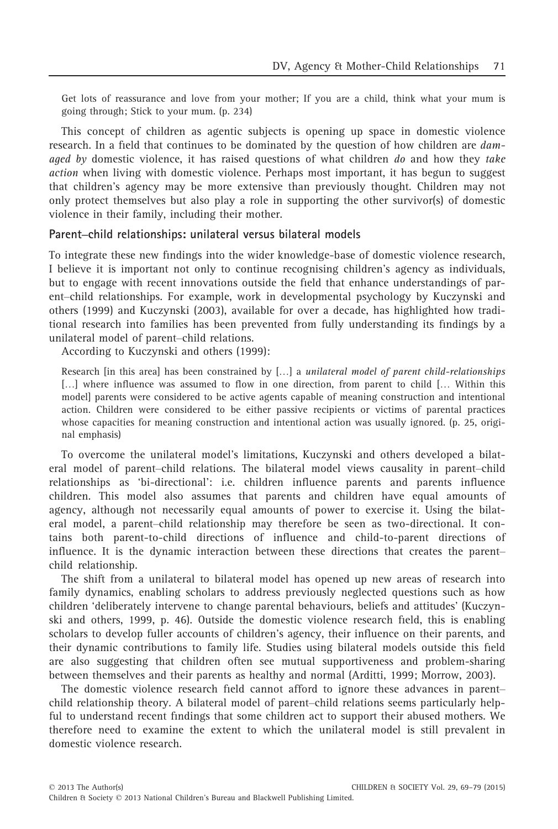Get lots of reassurance and love from your mother; If you are a child, think what your mum is going through; Stick to your mum. (p. 234)

This concept of children as agentic subjects is opening up space in domestic violence research. In a field that continues to be dominated by the question of how children are *dam*aged by domestic violence, it has raised questions of what children do and how they take action when living with domestic violence. Perhaps most important, it has begun to suggest that children's agency may be more extensive than previously thought. Children may not only protect themselves but also play a role in supporting the other survivor(s) of domestic violence in their family, including their mother.

#### Parent–child relationships: unilateral versus bilateral models

To integrate these new findings into the wider knowledge-base of domestic violence research, I believe it is important not only to continue recognising children's agency as individuals, but to engage with recent innovations outside the field that enhance understandings of parent–child relationships. For example, work in developmental psychology by Kuczynski and others (1999) and Kuczynski (2003), available for over a decade, has highlighted how traditional research into families has been prevented from fully understanding its findings by a unilateral model of parent–child relations.

According to Kuczynski and others (1999):

Research [in this area] has been constrained by […] a unilateral model of parent child-relationships [...] where influence was assumed to flow in one direction, from parent to child [... Within this model] parents were considered to be active agents capable of meaning construction and intentional action. Children were considered to be either passive recipients or victims of parental practices whose capacities for meaning construction and intentional action was usually ignored. (p. 25, original emphasis)

To overcome the unilateral model's limitations, Kuczynski and others developed a bilateral model of parent–child relations. The bilateral model views causality in parent–child relationships as 'bi-directional': i.e. children influence parents and parents influence children. This model also assumes that parents and children have equal amounts of agency, although not necessarily equal amounts of power to exercise it. Using the bilateral model, a parent–child relationship may therefore be seen as two-directional. It contains both parent-to-child directions of influence and child-to-parent directions of influence. It is the dynamic interaction between these directions that creates the parent– child relationship.

The shift from a unilateral to bilateral model has opened up new areas of research into family dynamics, enabling scholars to address previously neglected questions such as how children 'deliberately intervene to change parental behaviours, beliefs and attitudes' (Kuczynski and others, 1999, p. 46). Outside the domestic violence research field, this is enabling scholars to develop fuller accounts of children's agency, their influence on their parents, and their dynamic contributions to family life. Studies using bilateral models outside this field are also suggesting that children often see mutual supportiveness and problem-sharing between themselves and their parents as healthy and normal (Arditti, 1999; Morrow, 2003).

The domestic violence research field cannot afford to ignore these advances in parent– child relationship theory. A bilateral model of parent–child relations seems particularly helpful to understand recent findings that some children act to support their abused mothers. We therefore need to examine the extent to which the unilateral model is still prevalent in domestic violence research.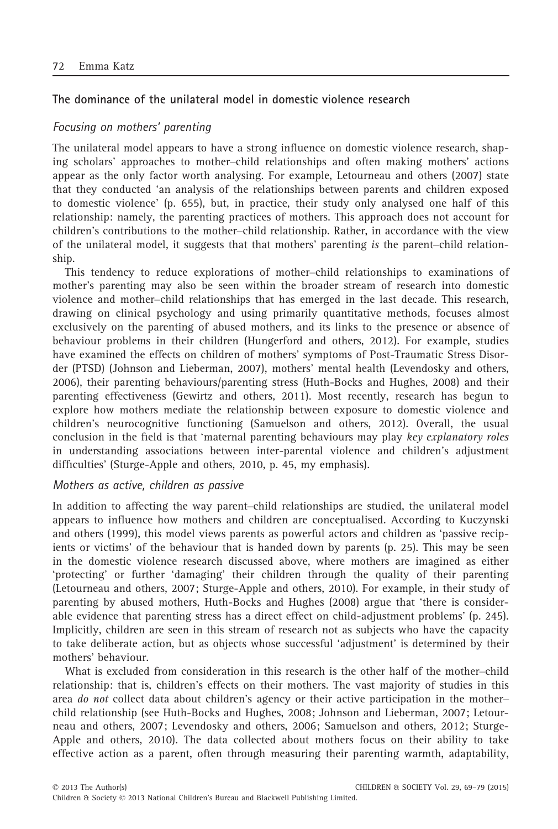# The dominance of the unilateral model in domestic violence research

# Focusing on mothers' parenting

The unilateral model appears to have a strong influence on domestic violence research, shaping scholars' approaches to mother–child relationships and often making mothers' actions appear as the only factor worth analysing. For example, Letourneau and others (2007) state that they conducted 'an analysis of the relationships between parents and children exposed to domestic violence' (p. 655), but, in practice, their study only analysed one half of this relationship: namely, the parenting practices of mothers. This approach does not account for children's contributions to the mother–child relationship. Rather, in accordance with the view of the unilateral model, it suggests that that mothers' parenting is the parent–child relationship.

This tendency to reduce explorations of mother–child relationships to examinations of mother's parenting may also be seen within the broader stream of research into domestic violence and mother–child relationships that has emerged in the last decade. This research, drawing on clinical psychology and using primarily quantitative methods, focuses almost exclusively on the parenting of abused mothers, and its links to the presence or absence of behaviour problems in their children (Hungerford and others, 2012). For example, studies have examined the effects on children of mothers' symptoms of Post-Traumatic Stress Disorder (PTSD) (Johnson and Lieberman, 2007), mothers' mental health (Levendosky and others, 2006), their parenting behaviours/parenting stress (Huth-Bocks and Hughes, 2008) and their parenting effectiveness (Gewirtz and others, 2011). Most recently, research has begun to explore how mothers mediate the relationship between exposure to domestic violence and children's neurocognitive functioning (Samuelson and others, 2012). Overall, the usual conclusion in the field is that 'maternal parenting behaviours may play key explanatory roles in understanding associations between inter-parental violence and children's adjustment difficulties' (Sturge-Apple and others, 2010, p. 45, my emphasis).

# Mothers as active, children as passive

In addition to affecting the way parent–child relationships are studied, the unilateral model appears to influence how mothers and children are conceptualised. According to Kuczynski and others (1999), this model views parents as powerful actors and children as 'passive recipients or victims' of the behaviour that is handed down by parents (p. 25). This may be seen in the domestic violence research discussed above, where mothers are imagined as either 'protecting' or further 'damaging' their children through the quality of their parenting (Letourneau and others, 2007; Sturge-Apple and others, 2010). For example, in their study of parenting by abused mothers, Huth-Bocks and Hughes (2008) argue that 'there is considerable evidence that parenting stress has a direct effect on child-adjustment problems' (p. 245). Implicitly, children are seen in this stream of research not as subjects who have the capacity to take deliberate action, but as objects whose successful 'adjustment' is determined by their mothers' behaviour.

What is excluded from consideration in this research is the other half of the mother–child relationship: that is, children's effects on their mothers. The vast majority of studies in this area do not collect data about children's agency or their active participation in the mother– child relationship (see Huth-Bocks and Hughes, 2008; Johnson and Lieberman, 2007; Letourneau and others, 2007; Levendosky and others, 2006; Samuelson and others, 2012; Sturge-Apple and others, 2010). The data collected about mothers focus on their ability to take effective action as a parent, often through measuring their parenting warmth, adaptability,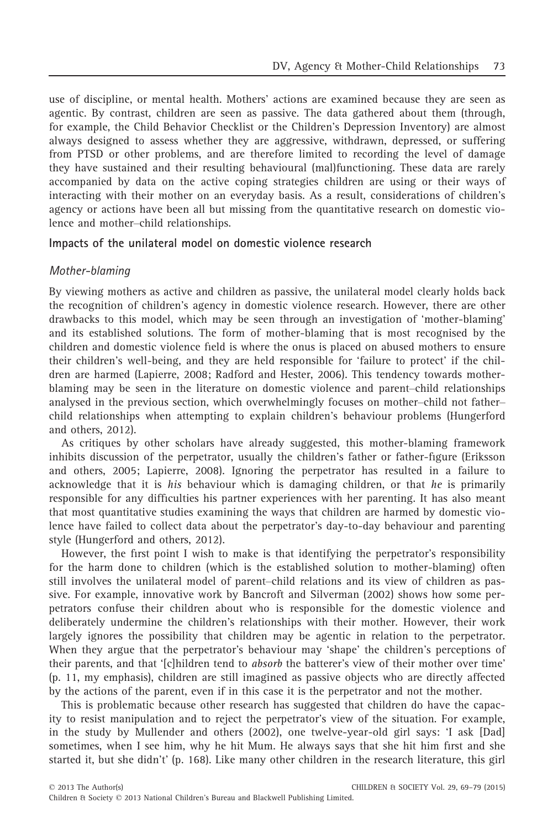use of discipline, or mental health. Mothers' actions are examined because they are seen as agentic. By contrast, children are seen as passive. The data gathered about them (through, for example, the Child Behavior Checklist or the Children's Depression Inventory) are almost always designed to assess whether they are aggressive, withdrawn, depressed, or suffering from PTSD or other problems, and are therefore limited to recording the level of damage they have sustained and their resulting behavioural (mal)functioning. These data are rarely accompanied by data on the active coping strategies children are using or their ways of interacting with their mother on an everyday basis. As a result, considerations of children's agency or actions have been all but missing from the quantitative research on domestic violence and mother–child relationships.

#### Impacts of the unilateral model on domestic violence research

## Mother-blaming

By viewing mothers as active and children as passive, the unilateral model clearly holds back the recognition of children's agency in domestic violence research. However, there are other drawbacks to this model, which may be seen through an investigation of 'mother-blaming' and its established solutions. The form of mother-blaming that is most recognised by the children and domestic violence field is where the onus is placed on abused mothers to ensure their children's well-being, and they are held responsible for 'failure to protect' if the children are harmed (Lapierre, 2008; Radford and Hester, 2006). This tendency towards motherblaming may be seen in the literature on domestic violence and parent–child relationships analysed in the previous section, which overwhelmingly focuses on mother–child not father– child relationships when attempting to explain children's behaviour problems (Hungerford and others, 2012).

As critiques by other scholars have already suggested, this mother-blaming framework inhibits discussion of the perpetrator, usually the children's father or father-figure (Eriksson and others, 2005; Lapierre, 2008). Ignoring the perpetrator has resulted in a failure to acknowledge that it is his behaviour which is damaging children, or that he is primarily responsible for any difficulties his partner experiences with her parenting. It has also meant that most quantitative studies examining the ways that children are harmed by domestic violence have failed to collect data about the perpetrator's day-to-day behaviour and parenting style (Hungerford and others, 2012).

However, the first point I wish to make is that identifying the perpetrator's responsibility for the harm done to children (which is the established solution to mother-blaming) often still involves the unilateral model of parent–child relations and its view of children as passive. For example, innovative work by Bancroft and Silverman (2002) shows how some perpetrators confuse their children about who is responsible for the domestic violence and deliberately undermine the children's relationships with their mother. However, their work largely ignores the possibility that children may be agentic in relation to the perpetrator. When they argue that the perpetrator's behaviour may 'shape' the children's perceptions of their parents, and that '[c]hildren tend to *absorb* the batterer's view of their mother over time' (p. 11, my emphasis), children are still imagined as passive objects who are directly affected by the actions of the parent, even if in this case it is the perpetrator and not the mother.

This is problematic because other research has suggested that children do have the capacity to resist manipulation and to reject the perpetrator's view of the situation. For example, in the study by Mullender and others (2002), one twelve-year-old girl says: 'I ask [Dad] sometimes, when I see him, why he hit Mum. He always says that she hit him first and she started it, but she didn't' (p. 168). Like many other children in the research literature, this girl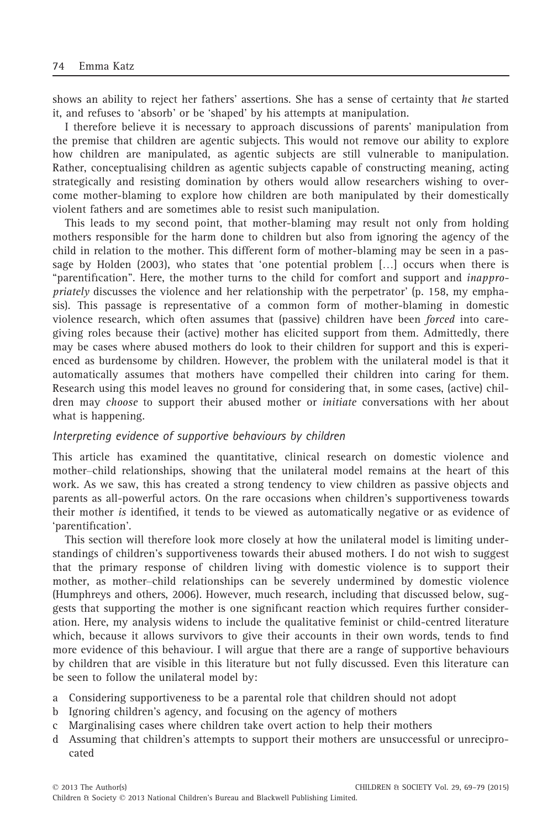shows an ability to reject her fathers' assertions. She has a sense of certainty that he started it, and refuses to 'absorb' or be 'shaped' by his attempts at manipulation.

I therefore believe it is necessary to approach discussions of parents' manipulation from the premise that children are agentic subjects. This would not remove our ability to explore how children are manipulated, as agentic subjects are still vulnerable to manipulation. Rather, conceptualising children as agentic subjects capable of constructing meaning, acting strategically and resisting domination by others would allow researchers wishing to overcome mother-blaming to explore how children are both manipulated by their domestically violent fathers and are sometimes able to resist such manipulation.

This leads to my second point, that mother-blaming may result not only from holding mothers responsible for the harm done to children but also from ignoring the agency of the child in relation to the mother. This different form of mother-blaming may be seen in a passage by Holden (2003), who states that 'one potential problem […] occurs when there is "parentification". Here, the mother turns to the child for comfort and support and inappropriately discusses the violence and her relationship with the perpetrator' (p. 158, my emphasis). This passage is representative of a common form of mother-blaming in domestic violence research, which often assumes that (passive) children have been forced into caregiving roles because their (active) mother has elicited support from them. Admittedly, there may be cases where abused mothers do look to their children for support and this is experienced as burdensome by children. However, the problem with the unilateral model is that it automatically assumes that mothers have compelled their children into caring for them. Research using this model leaves no ground for considering that, in some cases, (active) children may choose to support their abused mother or initiate conversations with her about what is happening.

#### Interpreting evidence of supportive behaviours by children

This article has examined the quantitative, clinical research on domestic violence and mother–child relationships, showing that the unilateral model remains at the heart of this work. As we saw, this has created a strong tendency to view children as passive objects and parents as all-powerful actors. On the rare occasions when children's supportiveness towards their mother is identified, it tends to be viewed as automatically negative or as evidence of 'parentification'.

This section will therefore look more closely at how the unilateral model is limiting understandings of children's supportiveness towards their abused mothers. I do not wish to suggest that the primary response of children living with domestic violence is to support their mother, as mother–child relationships can be severely undermined by domestic violence (Humphreys and others, 2006). However, much research, including that discussed below, suggests that supporting the mother is one significant reaction which requires further consideration. Here, my analysis widens to include the qualitative feminist or child-centred literature which, because it allows survivors to give their accounts in their own words, tends to find more evidence of this behaviour. I will argue that there are a range of supportive behaviours by children that are visible in this literature but not fully discussed. Even this literature can be seen to follow the unilateral model by:

- a Considering supportiveness to be a parental role that children should not adopt
- b Ignoring children's agency, and focusing on the agency of mothers
- c Marginalising cases where children take overt action to help their mothers
- d Assuming that children's attempts to support their mothers are unsuccessful or unreciprocated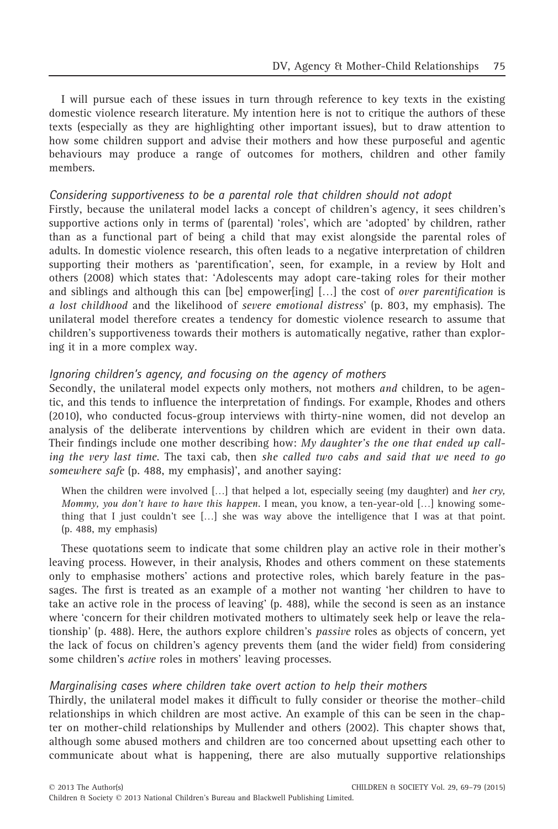I will pursue each of these issues in turn through reference to key texts in the existing domestic violence research literature. My intention here is not to critique the authors of these texts (especially as they are highlighting other important issues), but to draw attention to how some children support and advise their mothers and how these purposeful and agentic behaviours may produce a range of outcomes for mothers, children and other family members.

## Considering supportiveness to be a parental role that children should not adopt

Firstly, because the unilateral model lacks a concept of children's agency, it sees children's supportive actions only in terms of (parental) 'roles', which are 'adopted' by children, rather than as a functional part of being a child that may exist alongside the parental roles of adults. In domestic violence research, this often leads to a negative interpretation of children supporting their mothers as 'parentification', seen, for example, in a review by Holt and others (2008) which states that: 'Adolescents may adopt care-taking roles for their mother and siblings and although this can [be] empower[ing]  $[...]$  the cost of *over parentification* is a lost childhood and the likelihood of severe emotional distress' (p. 803, my emphasis). The unilateral model therefore creates a tendency for domestic violence research to assume that children's supportiveness towards their mothers is automatically negative, rather than exploring it in a more complex way.

## Ignoring children's agency, and focusing on the agency of mothers

Secondly, the unilateral model expects only mothers, not mothers and children, to be agentic, and this tends to influence the interpretation of findings. For example, Rhodes and others (2010), who conducted focus-group interviews with thirty-nine women, did not develop an analysis of the deliberate interventions by children which are evident in their own data. Their findings include one mother describing how: My daughter's the one that ended up calling the very last time. The taxi cab, then she called two cabs and said that we need to go somewhere safe (p. 488, my emphasis)', and another saying:

When the children were involved [...] that helped a lot, especially seeing (my daughter) and *her cry*, Mommy, you don't have to have this happen. I mean, you know, a ten-year-old [...] knowing something that I just couldn't see […] she was way above the intelligence that I was at that point. (p. 488, my emphasis)

These quotations seem to indicate that some children play an active role in their mother's leaving process. However, in their analysis, Rhodes and others comment on these statements only to emphasise mothers' actions and protective roles, which barely feature in the passages. The first is treated as an example of a mother not wanting 'her children to have to take an active role in the process of leaving' (p. 488), while the second is seen as an instance where 'concern for their children motivated mothers to ultimately seek help or leave the relationship' (p. 488). Here, the authors explore children's passive roles as objects of concern, yet the lack of focus on children's agency prevents them (and the wider field) from considering some children's active roles in mothers' leaving processes.

#### Marginalising cases where children take overt action to help their mothers

Thirdly, the unilateral model makes it difficult to fully consider or theorise the mother–child relationships in which children are most active. An example of this can be seen in the chapter on mother-child relationships by Mullender and others (2002). This chapter shows that, although some abused mothers and children are too concerned about upsetting each other to communicate about what is happening, there are also mutually supportive relationships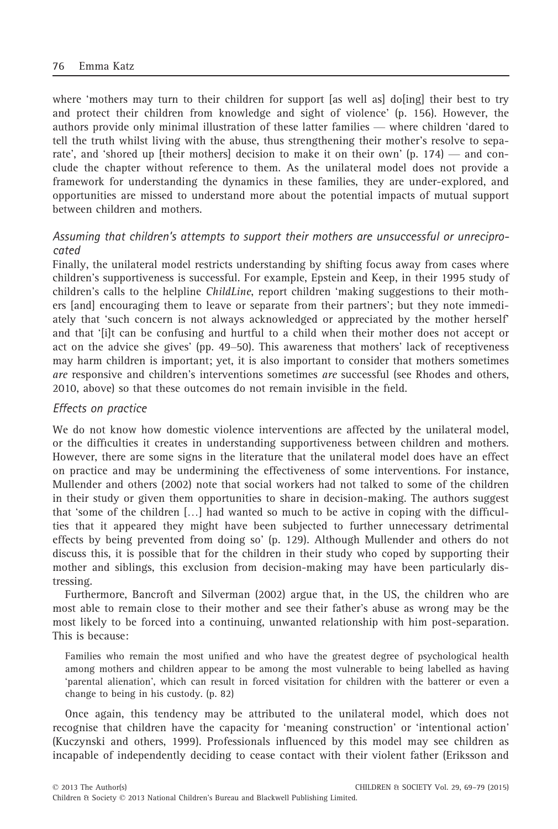where 'mothers may turn to their children for support [as well as] do[ing] their best to try and protect their children from knowledge and sight of violence' (p. 156). However, the authors provide only minimal illustration of these latter families — where children 'dared to tell the truth whilst living with the abuse, thus strengthening their mother's resolve to separate', and 'shored up [their mothers] decision to make it on their own' (p. 174) — and conclude the chapter without reference to them. As the unilateral model does not provide a framework for understanding the dynamics in these families, they are under-explored, and opportunities are missed to understand more about the potential impacts of mutual support between children and mothers.

# Assuming that children's attempts to support their mothers are unsuccessful or unreciprocated

Finally, the unilateral model restricts understanding by shifting focus away from cases where children's supportiveness is successful. For example, Epstein and Keep, in their 1995 study of children's calls to the helpline ChildLine, report children 'making suggestions to their mothers [and] encouraging them to leave or separate from their partners'; but they note immediately that 'such concern is not always acknowledged or appreciated by the mother herself' and that '[i]t can be confusing and hurtful to a child when their mother does not accept or act on the advice she gives' (pp. 49–50). This awareness that mothers' lack of receptiveness may harm children is important; yet, it is also important to consider that mothers sometimes are responsive and children's interventions sometimes are successful (see Rhodes and others, 2010, above) so that these outcomes do not remain invisible in the field.

# Effects on practice

We do not know how domestic violence interventions are affected by the unilateral model, or the difficulties it creates in understanding supportiveness between children and mothers. However, there are some signs in the literature that the unilateral model does have an effect on practice and may be undermining the effectiveness of some interventions. For instance, Mullender and others (2002) note that social workers had not talked to some of the children in their study or given them opportunities to share in decision-making. The authors suggest that 'some of the children […] had wanted so much to be active in coping with the difficulties that it appeared they might have been subjected to further unnecessary detrimental effects by being prevented from doing so' (p. 129). Although Mullender and others do not discuss this, it is possible that for the children in their study who coped by supporting their mother and siblings, this exclusion from decision-making may have been particularly distressing.

Furthermore, Bancroft and Silverman (2002) argue that, in the US, the children who are most able to remain close to their mother and see their father's abuse as wrong may be the most likely to be forced into a continuing, unwanted relationship with him post-separation. This is because:

Families who remain the most unified and who have the greatest degree of psychological health among mothers and children appear to be among the most vulnerable to being labelled as having 'parental alienation', which can result in forced visitation for children with the batterer or even a change to being in his custody. (p. 82)

Once again, this tendency may be attributed to the unilateral model, which does not recognise that children have the capacity for 'meaning construction' or 'intentional action' (Kuczynski and others, 1999). Professionals influenced by this model may see children as incapable of independently deciding to cease contact with their violent father (Eriksson and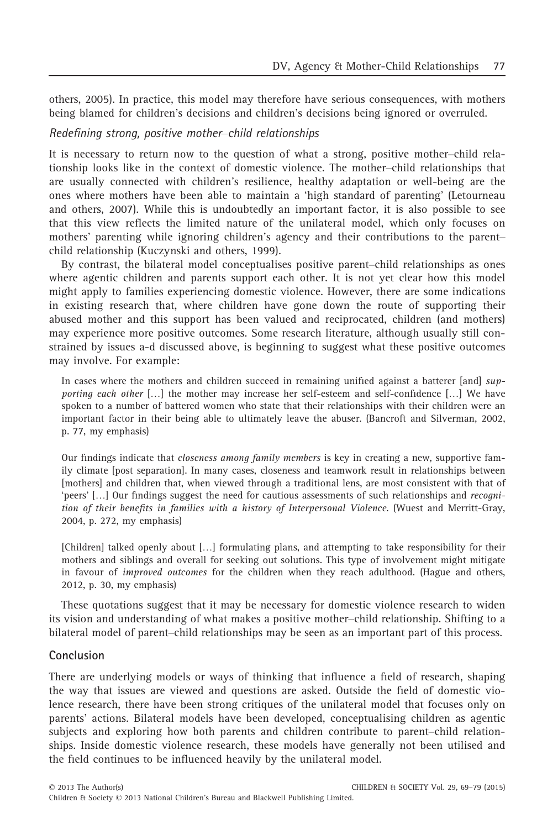others, 2005). In practice, this model may therefore have serious consequences, with mothers being blamed for children's decisions and children's decisions being ignored or overruled.

## Redefining strong, positive mother–child relationships

It is necessary to return now to the question of what a strong, positive mother–child relationship looks like in the context of domestic violence. The mother–child relationships that are usually connected with children's resilience, healthy adaptation or well-being are the ones where mothers have been able to maintain a 'high standard of parenting' (Letourneau and others, 2007). While this is undoubtedly an important factor, it is also possible to see that this view reflects the limited nature of the unilateral model, which only focuses on mothers' parenting while ignoring children's agency and their contributions to the parent– child relationship (Kuczynski and others, 1999).

By contrast, the bilateral model conceptualises positive parent–child relationships as ones where agentic children and parents support each other. It is not yet clear how this model might apply to families experiencing domestic violence. However, there are some indications in existing research that, where children have gone down the route of supporting their abused mother and this support has been valued and reciprocated, children (and mothers) may experience more positive outcomes. Some research literature, although usually still constrained by issues a-d discussed above, is beginning to suggest what these positive outcomes may involve. For example:

In cases where the mothers and children succeed in remaining unified against a batterer [and] supporting each other [...] the mother may increase her self-esteem and self-confidence [...] We have spoken to a number of battered women who state that their relationships with their children were an important factor in their being able to ultimately leave the abuser. (Bancroft and Silverman, 2002, p. 77, my emphasis)

Our findings indicate that closeness among family members is key in creating a new, supportive family climate [post separation]. In many cases, closeness and teamwork result in relationships between [mothers] and children that, when viewed through a traditional lens, are most consistent with that of 'peers' […] Our findings suggest the need for cautious assessments of such relationships and recognition of their benefits in families with a history of Interpersonal Violence. (Wuest and Merritt-Gray, 2004, p. 272, my emphasis)

[Children] talked openly about […] formulating plans, and attempting to take responsibility for their mothers and siblings and overall for seeking out solutions. This type of involvement might mitigate in favour of improved outcomes for the children when they reach adulthood. (Hague and others, 2012, p. 30, my emphasis)

These quotations suggest that it may be necessary for domestic violence research to widen its vision and understanding of what makes a positive mother–child relationship. Shifting to a bilateral model of parent–child relationships may be seen as an important part of this process.

## Conclusion

There are underlying models or ways of thinking that influence a field of research, shaping the way that issues are viewed and questions are asked. Outside the field of domestic violence research, there have been strong critiques of the unilateral model that focuses only on parents' actions. Bilateral models have been developed, conceptualising children as agentic subjects and exploring how both parents and children contribute to parent–child relationships. Inside domestic violence research, these models have generally not been utilised and the field continues to be influenced heavily by the unilateral model.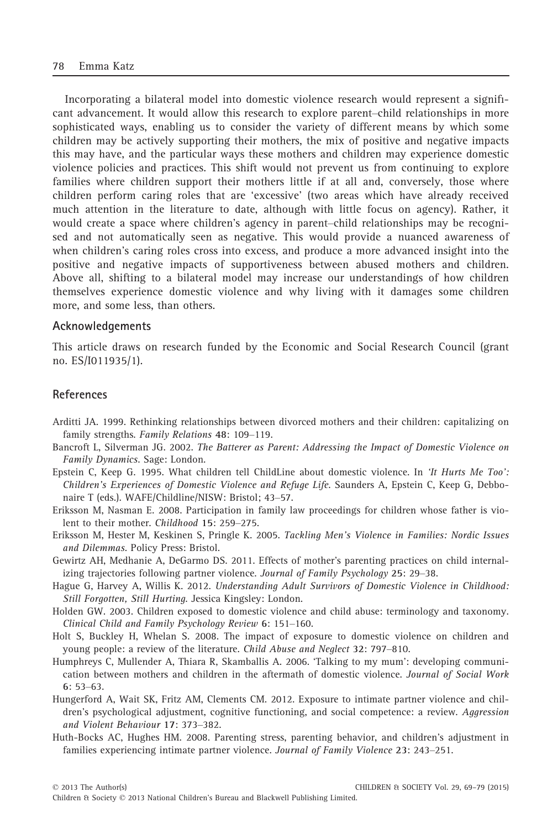Incorporating a bilateral model into domestic violence research would represent a significant advancement. It would allow this research to explore parent–child relationships in more sophisticated ways, enabling us to consider the variety of different means by which some children may be actively supporting their mothers, the mix of positive and negative impacts this may have, and the particular ways these mothers and children may experience domestic violence policies and practices. This shift would not prevent us from continuing to explore families where children support their mothers little if at all and, conversely, those where children perform caring roles that are 'excessive' (two areas which have already received much attention in the literature to date, although with little focus on agency). Rather, it would create a space where children's agency in parent–child relationships may be recognised and not automatically seen as negative. This would provide a nuanced awareness of when children's caring roles cross into excess, and produce a more advanced insight into the positive and negative impacts of supportiveness between abused mothers and children. Above all, shifting to a bilateral model may increase our understandings of how children themselves experience domestic violence and why living with it damages some children more, and some less, than others.

#### Acknowledgements

This article draws on research funded by the Economic and Social Research Council (grant no. ES/I011935/1).

#### References

- Arditti JA. 1999. Rethinking relationships between divorced mothers and their children: capitalizing on family strengths. Family Relations 48: 109–119.
- Bancroft L, Silverman JG. 2002. The Batterer as Parent: Addressing the Impact of Domestic Violence on Family Dynamics. Sage: London.
- Epstein C, Keep G. 1995. What children tell ChildLine about domestic violence. In 'It Hurts Me Too': Children's Experiences of Domestic Violence and Refuge Life. Saunders A, Epstein C, Keep G, Debbonaire T (eds.). WAFE/Childline/NISW: Bristol; 43–57.
- Eriksson M, Nasman E. 2008. Participation in family law proceedings for children whose father is violent to their mother. Childhood 15: 259–275.
- Eriksson M, Hester M, Keskinen S, Pringle K. 2005. Tackling Men's Violence in Families: Nordic Issues and Dilemmas. Policy Press: Bristol.
- Gewirtz AH, Medhanie A, DeGarmo DS. 2011. Effects of mother's parenting practices on child internalizing trajectories following partner violence. Journal of Family Psychology 25: 29–38.
- Hague G, Harvey A, Willis K. 2012. Understanding Adult Survivors of Domestic Violence in Childhood: Still Forgotten, Still Hurting. Jessica Kingsley: London.
- Holden GW. 2003. Children exposed to domestic violence and child abuse: terminology and taxonomy. Clinical Child and Family Psychology Review 6: 151–160.
- Holt S, Buckley H, Whelan S. 2008. The impact of exposure to domestic violence on children and young people: a review of the literature. Child Abuse and Neglect 32: 797–810.
- Humphreys C, Mullender A, Thiara R, Skamballis A. 2006. 'Talking to my mum': developing communication between mothers and children in the aftermath of domestic violence. Journal of Social Work 6: 53–63.
- Hungerford A, Wait SK, Fritz AM, Clements CM. 2012. Exposure to intimate partner violence and children's psychological adjustment, cognitive functioning, and social competence: a review. Aggression and Violent Behaviour 17: 373–382.
- Huth-Bocks AC, Hughes HM. 2008. Parenting stress, parenting behavior, and children's adjustment in families experiencing intimate partner violence. Journal of Family Violence 23: 243–251.